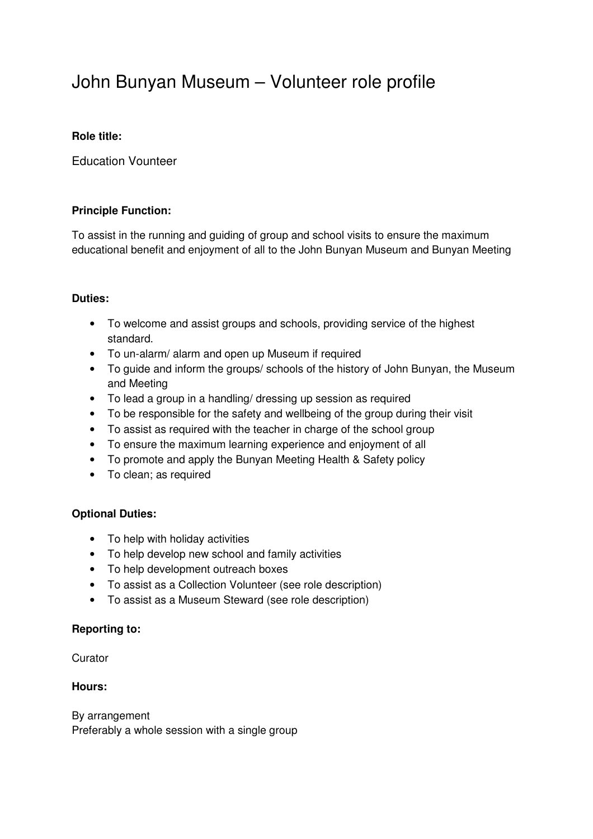# John Bunyan Museum – Volunteer role profile

## **Role title:**

Education Vounteer

## **Principle Function:**

To assist in the running and guiding of group and school visits to ensure the maximum educational benefit and enjoyment of all to the John Bunyan Museum and Bunyan Meeting

## **Duties:**

- To welcome and assist groups and schools, providing service of the highest standard.
- To un-alarm/ alarm and open up Museum if required
- To guide and inform the groups/ schools of the history of John Bunyan, the Museum and Meeting
- To lead a group in a handling/ dressing up session as required
- To be responsible for the safety and wellbeing of the group during their visit
- To assist as required with the teacher in charge of the school group
- To ensure the maximum learning experience and enjoyment of all
- To promote and apply the Bunyan Meeting Health & Safety policy
- To clean; as required

### **Optional Duties:**

- To help with holiday activities
- To help develop new school and family activities
- To help development outreach boxes
- To assist as a Collection Volunteer (see role description)
- To assist as a Museum Steward (see role description)

### **Reporting to:**

**Curator** 

### **Hours:**

By arrangement Preferably a whole session with a single group